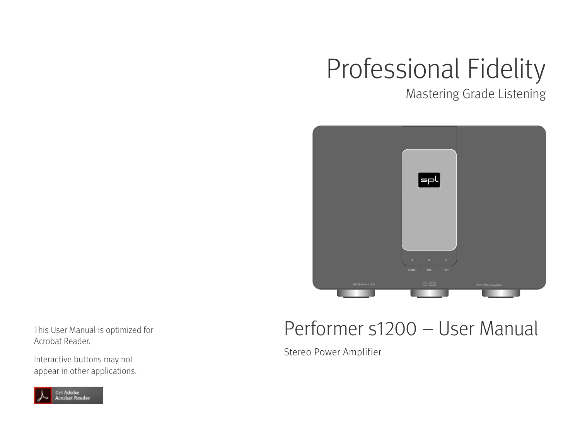# Professional Fidelity

Mastering Grade Listening



This User Manual is optimized for Acrobat Reader.

Interactive buttons may not appear in other applications.



### Performer s1200 – User Manual

Stereo Power Amplifier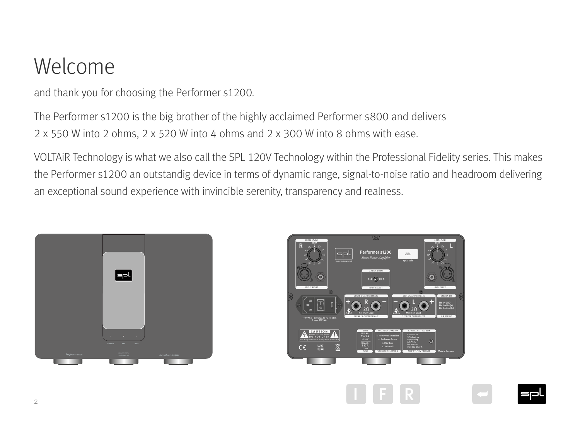### Welcome

and thank you for choosing the Performer s1200.

The Performer s1200 is the big brother of the highly acclaimed Performer s800 and delivers 2 x 550 W into 2 ohms, 2 x 520 W into 4 ohms and 2 x 300 W into 8 ohms with ease.

VOLTAiR Technology is what we also call the SPL 120V Technology within the Professional Fidelity series. This makes the Performer s1200 an outstandig device in terms of dynamic range, signal-to-noise ratio and headroom delivering an exceptional sound experience with invincible serenity, transparency and realness.





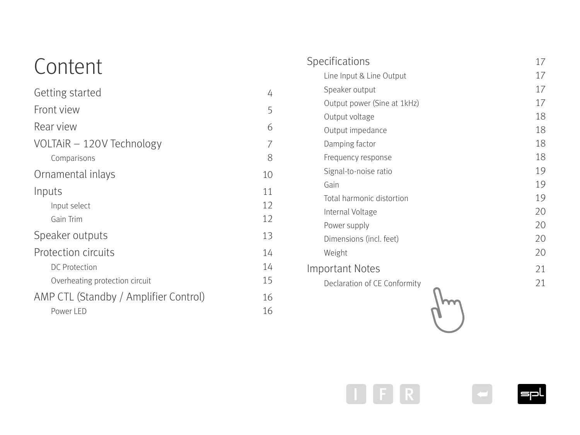### Content

| Getting started                       | 4  |
|---------------------------------------|----|
| Front view                            | 5  |
| Rear view                             | 6  |
| VOLTAIR - 120V Technology             | 7  |
| Comparisons                           | 8  |
| Ornamental inlays                     | 10 |
| Inputs                                | 11 |
| Input select                          | 12 |
| Gain Trim                             | 12 |
| Speaker outputs                       | 13 |
| <b>Protection circuits</b>            | 14 |
| <b>DC Protection</b>                  | 14 |
| Overheating protection circuit        | 15 |
| AMP CTL (Standby / Amplifier Control) | 16 |
| Power LED                             | 16 |

4

5

6

7

8

| Specifications               | 17 |
|------------------------------|----|
| Line Input & Line Output     | 17 |
| Speaker output               | 17 |
| Output power (Sine at 1kHz)  | 17 |
| Output voltage               | 18 |
| Output impedance             | 18 |
| Damping factor               | 18 |
| Frequency response           | 18 |
| Signal-to-noise ratio        | 19 |
| Gain                         | 19 |
| Total harmonic distortion    | 19 |
| Internal Voltage             | 20 |
| Power supply                 | 20 |
| Dimensions (incl. feet)      | 20 |
| Weight                       | 20 |
| <b>Important Notes</b>       | 21 |
| Declaration of CE Conformity | 21 |
|                              |    |
|                              |    |
|                              |    |





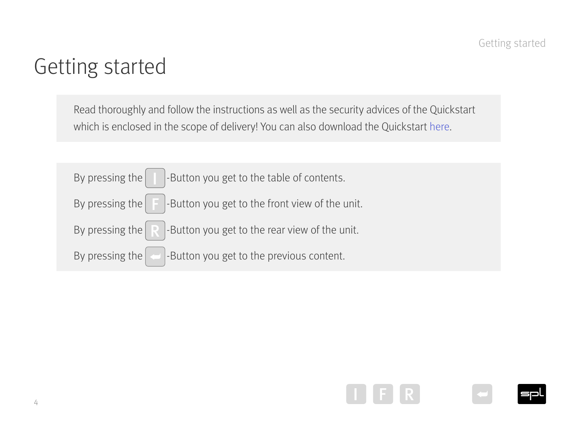### <span id="page-3-0"></span>Getting started

Read thoroughly and follow the instructions as well as the security advices of the Quickstart which is enclosed in the scope of delivery! You can also download the Quickstart [here](https://spl.audio/en/spl-produkt/performer-s1200).



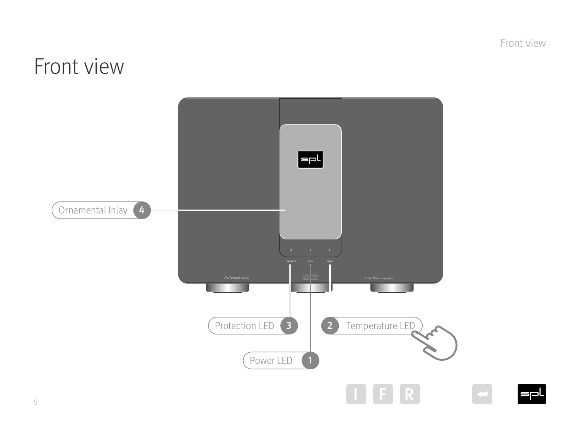Front view

**I**spl

### <span id="page-4-1"></span><span id="page-4-0"></span>Front view



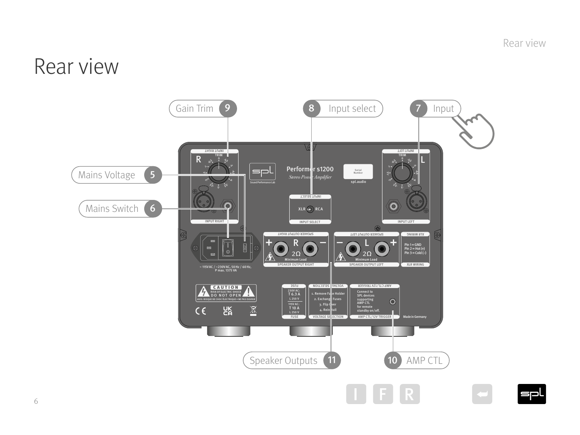Rear view

### <span id="page-5-1"></span><span id="page-5-0"></span>Rear view

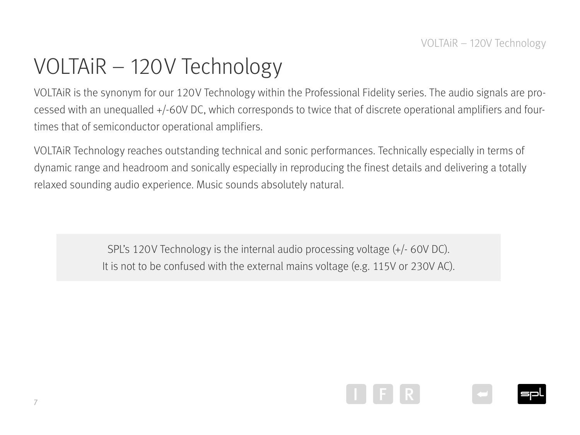### <span id="page-6-0"></span>VOLTAiR – 120V Technology

VOLTAiR is the synonym for our 120V Technology within the Professional Fidelity series. The audio signals are processed with an unequalled +/-60V DC, which corresponds to twice that of discrete operational amplifiers and fourtimes that of semiconductor operational amplifiers.

VOLTAiR Technology reaches outstanding technical and sonic performances. Technically especially in terms of dynamic range and headroom and sonically especially in reproducing the finest details and delivering a totally relaxed sounding audio experience. Music sounds absolutely natural.

> SPL's 120V Technology is the internal audio processing voltage (+/- 60V DC). It is not to be confused with the external mains voltage (e.g. 115V or 230V AC).

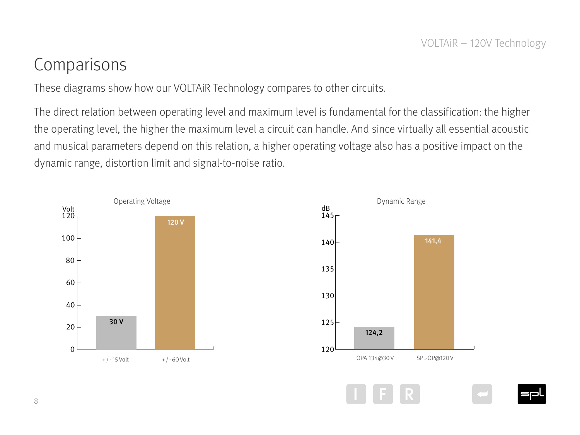#### <span id="page-7-0"></span>Comparisons

These diagrams show how our VOLTAiR Technology compares to other circuits.

The direct relation between operating level and maximum level is fundamental for the classification: the higher the operating level, the higher the maximum level a circuit can handle. And since virtually all essential acoustic and musical parameters depend on this relation, a higher operating voltage also has a positive impact on the dynamic range, distortion limit and signal-to-noise ratio.



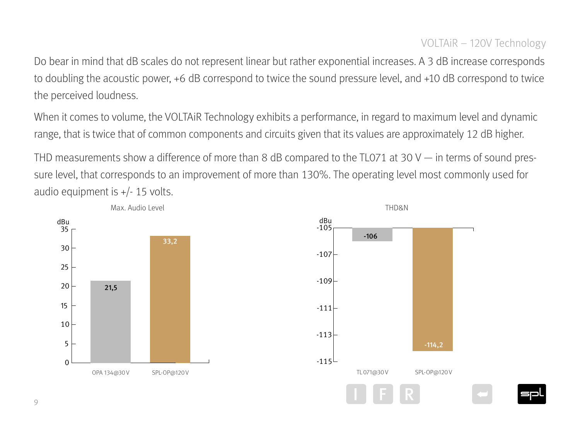Do bear in mind that dB scales do not represent linear but rather exponential increases. A 3 dB increase corresponds to doubling the acoustic power, +6 dB correspond to twice the sound pressure level, and +10 dB correspond to twice the perceived loudness.

When it comes to volume, the VOLTAiR Technology exhibits a performance, in regard to maximum level and dynamic range, that is twice that of common components and circuits given that its values are approximately 12 dB higher.

THD measurements show a difference of more than 8 dB compared to the TL071 at 30 V — in terms of sound pressure level, that corresponds to an improvement of more than 130%. The operating level most commonly used for audio equipment is +/- 15 volts.

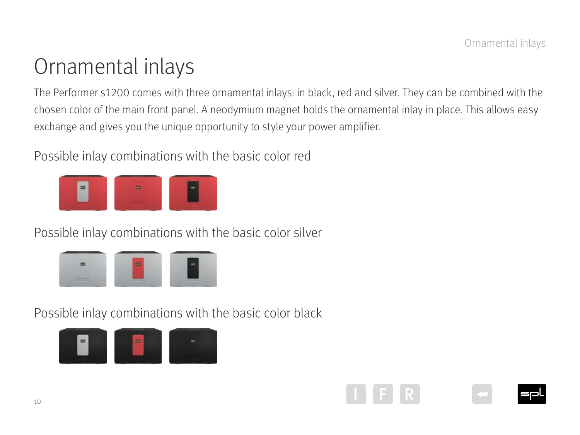### <span id="page-9-0"></span>Ornamental inlays

The Performer s1200 comes with three ornamental inlays: in black, red and silver. They can be combined with the chosen color of the main front panel. A neodymium magnet holds the ornamental inlay in place. This allows easy exchange and gives you the unique opportunity to style your power amplifier.

Possible inlay combinations with the basic color red



Possible inlay combinations with the basic color silver

| ___        |             |                   |
|------------|-------------|-------------------|
|            |             |                   |
| $-100$<br> | $+104$<br>- | <b>*11.2</b><br>- |

Possible inlay combinations with the basic color black





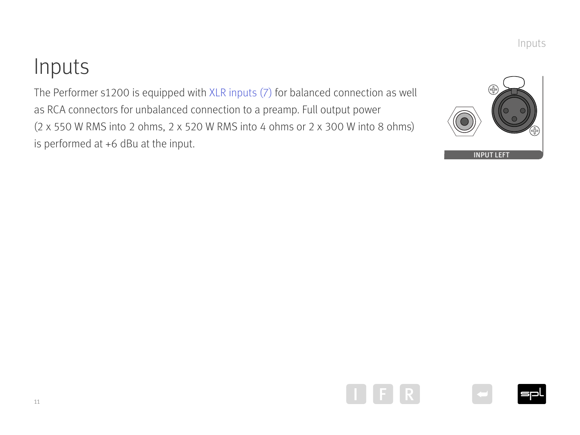### <span id="page-10-0"></span>Inputs • • • puts

The Performer s1200 is equipped with XLR inputs  $(7)$  for balanced connection as well as RCA connectors for unbalanced connection to a preamp. Full output power  $(2 \times 550 \text{ W RMS}$  into 2 ohms,  $2 \times 520 \text{ W RMS}$  into 4 ohms or  $2 \times 300 \text{ W}$  into 8 ohms) is performed at +6 dBu at the input.



Inputs







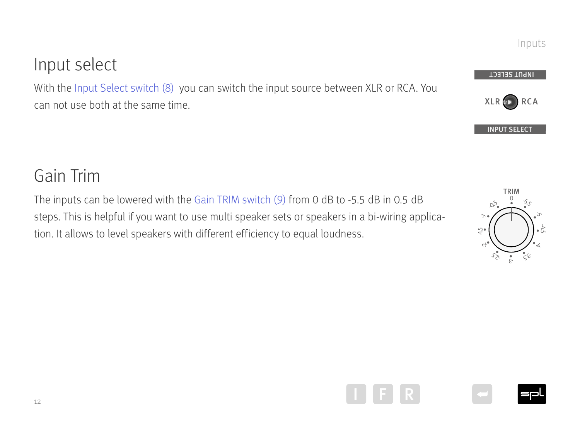#### <span id="page-11-0"></span>Input select

With the Inpu[t Select switch \(8\)](#page-5-1) you can switch the input source between XLR or RCA. You can not use both at the same time.

#### Gain Trim

The inputs can be lowered with the [Gain TRIM switch \(9\)](#page-5-1) from 0 dB to -5.5 dB in 0.5 dB steps. This is helpful if you want to use multi speaker sets or speakers in a bi-wiring application. It allows to level speakers with different efficiency to equal loudness. • buts can be lowered with the Gain TRIM switch (9) from 0 dB to -5.5 dB in 0.5 dB  $\overline{6}$  fome S<br>/S  $\overline{a}$ 3- Carribe town<br>3- is helpful if<br>ws to level s

•• -5.5 • • • • • •  $\begin{bmatrix} \cdot \end{bmatrix}$ •0 -5 4آل  $\prec$ 3- 5. 3- 2- 5. 2- 1- 5. -1 -0.5  $\frac{1}{2}$  TRIM<br> $\frac{0}{2}$   $\frac{1}{2}$   $\frac{1}{2}$  $\mathcal{L}$  $M_{\rm max}$ 







INPUT SELECT

XLR D RCA

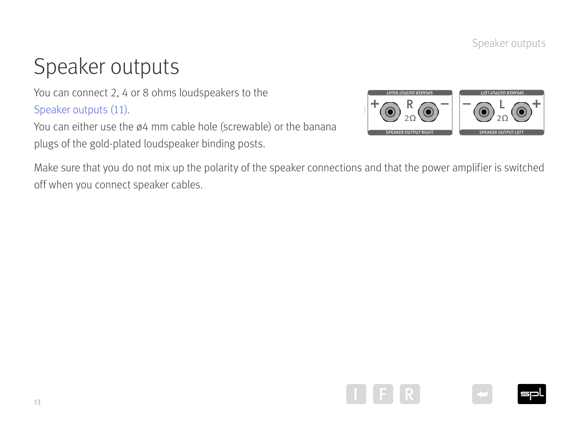Speaker outputs

### <span id="page-12-0"></span>Speaker outputs

You can connect 2, 4 or 8 ohms loudspeakers to the [Speaker outputs \(11\).](#page-5-1)

You can either use the ø4 mm cable hole (screwable) or the banana plugs of the gold-plated loudspeaker binding posts.



Make sure that you do not mix up the polarity of the speaker connections and that the power amplifier is switched off when you connect speaker cables.





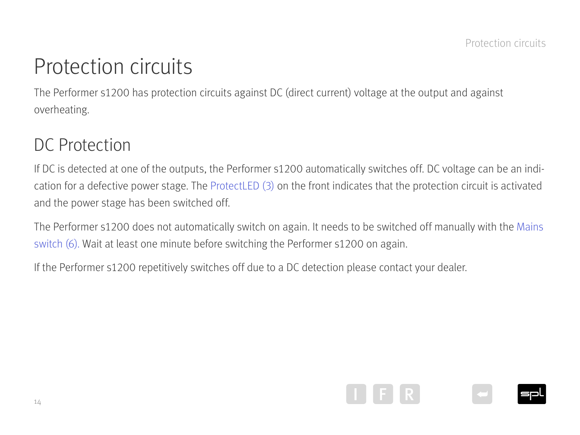### <span id="page-13-0"></span>Protection circuits

The Performer s1200 has protection circuits against DC (direct current) voltage at the output and against overheating.

#### DC Protection

If DC is detected at one of the outputs, the Performer s1200 automatically switches off. DC voltage can be an indication for a defective power stage. The [ProtectLED \(3\)](#page-4-1) on the front indicates that the protection circuit is activated and the power stage has been switched off.

The Performer s1200 does not automatically switch on again. It needs to be switched off manually with the [Mains](#page-5-1)  [switch \(6\)](#page-5-1). Wait at least one minute before switching the Performer s1200 on again.

If the Performer s1200 repetitively switches off due to a DC detection please contact your dealer.

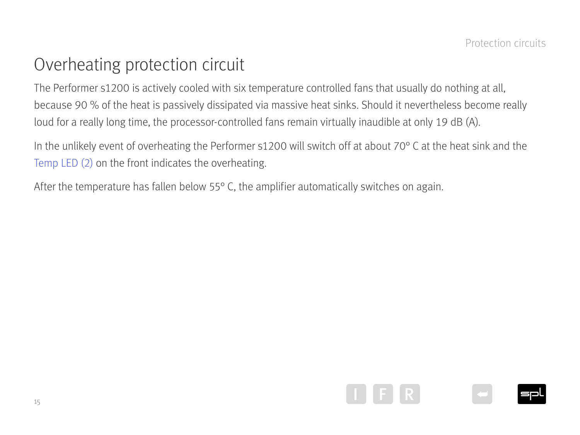#### <span id="page-14-0"></span>Overheating protection circuit

The Performer s1200 is actively cooled with six temperature controlled fans that usually do nothing at all, because 90 % of the heat is passively dissipated via massive heat sinks. Should it nevertheless become really loud for a really long time, the processor-controlled fans remain virtually inaudible at only 19 dB (A).

In the unlikely event of overheating the Performer s1200 will switch off at about 70° C at the heat sink and the [Temp LED \(2\)](#page-4-1) on the front indicates the overheating.

After the temperature has fallen below 55° C, the amplifier automatically switches on again.





15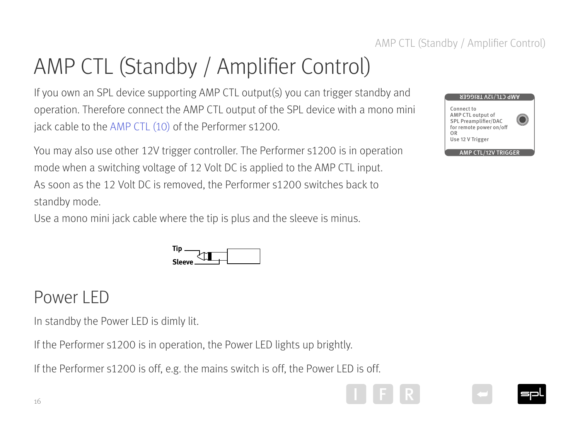#### AMP CTL (Standby / Amplifier Control) 2ώ 2ώ 2ώ 2ώ 2ώ 2ώ 2ώ 2ώ 2ώ 2ώ 2ώ 2ώ<br>2ώ 2ώ 2ώ 2ώ 2ώ 2ώ 2ώ 2ώ 2ώ 2ώ 2ώ 2ώ 2ώ

## <span id="page-15-0"></span>AMP CTL (Standby / Amplifier Control)

If you own an SPL device supporting AMP CTL output(s) you can trigger standby and operation. Therefore connect the AMP CTL output of the SPL device with a mono mini jack cable to the [AMP CTL \(10\)](#page-5-1) of the Performer s1200.

You may also use other 12V trigger controller. The Performer s1200 is in operation mode when a switching voltage of 12 Volt DC is applied to the AMP CTL input. As soon as the 12 Volt DC is removed, the Performer s1200 switches back to standby mode.

Use a mono mini jack cable where the tip is plus and the sleeve is minus.



#### Power LED

In standby the Power LED is dimly lit.

If the Performer s1200 is in operation, the Power LED lights up brightly.

If the Performer s1200 is off, e.g. the mains switch is off, the Power LED is off.





I J F R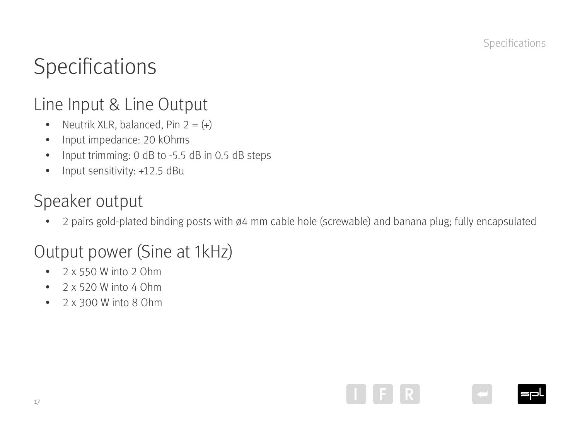### <span id="page-16-0"></span>Specifications

#### Line Input & Line Output

- Neutrik XLR, balanced, Pin  $2 = (+)$
- Input impedance: 20 kOhms
- Input trimming: 0 dB to -5.5 dB in 0.5 dB steps
- Input sensitivity: +12.5 dBu

#### Speaker output

• 2 pairs gold-plated binding posts with ø4 mm cable hole (screwable) and banana plug; fully encapsulated

### Output power (Sine at 1kHz)

- $\bullet$  2 x 550 W into 2 Ohm
- $\bullet$  2 x 520 W into 4 Ohm
- 2 x 300 W into 8 Ohm

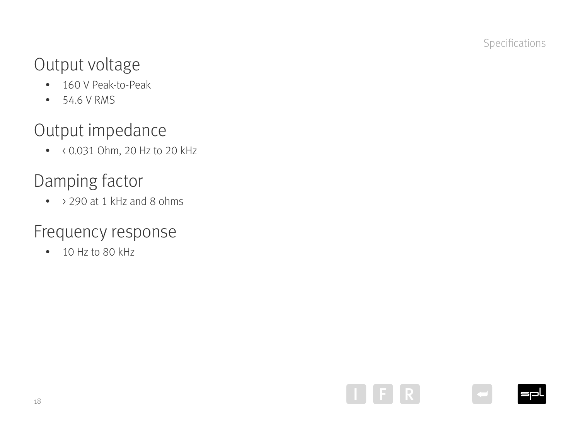### <span id="page-17-0"></span>Output voltage

- 160 V Peak-to-Peak
- 54.6 V RMS

### Output impedance

• < 0.031 Ohm, 20 Hz to 20 kHz

### Damping factor

• > 290 at 1 kHz and 8 ohms

#### Frequency response

• 10 Hz to 80 kHz





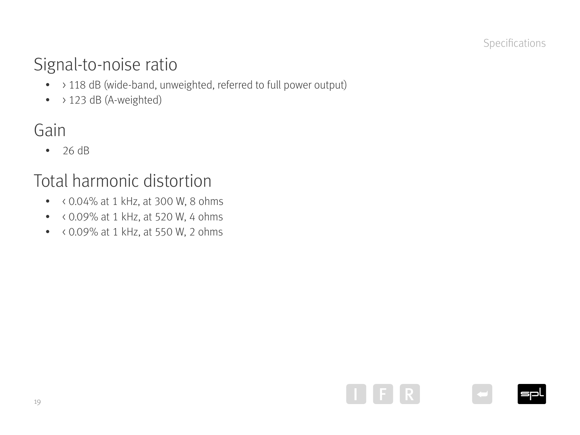### <span id="page-18-0"></span>Signal-to-noise ratio

- > 118 dB (wide-band, unweighted, referred to full power output)
- > 123 dB (A-weighted)

### Gain

• 26 dB

### Total harmonic distortion

- < 0.04% at 1 kHz, at 300 W, 8 ohms
- $\bullet$  < 0.09% at 1 kHz, at 520 W, 4 ohms
- $\bullet$  < 0.09% at 1 kHz, at 550 W, 2 ohms





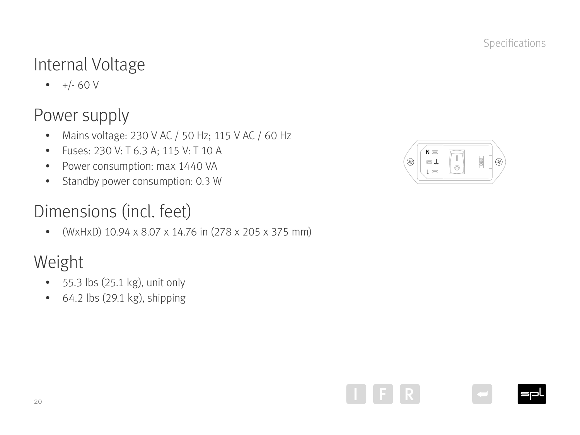### <span id="page-19-0"></span>Internal Voltage

 $\bullet +/- 60V$ 

### Power supply

- Mains voltage: 230 V AC / 50 Hz; 115 V AC / 60 Hz
- Fuses: 230 V: T 6.3 A; 115 V: T 10 A
- Power consumption: max 1440 VA
- Standby power consumption: 0.3 W

### Dimensions (incl. feet)

• (WxHxD) 10.94 x 8.07 x 14.76 in (278 x 205 x 375 mm)

### Weight

- 55.3 lbs (25.1 kg), unit only
- 64.2 lbs (29.1 kg), shipping